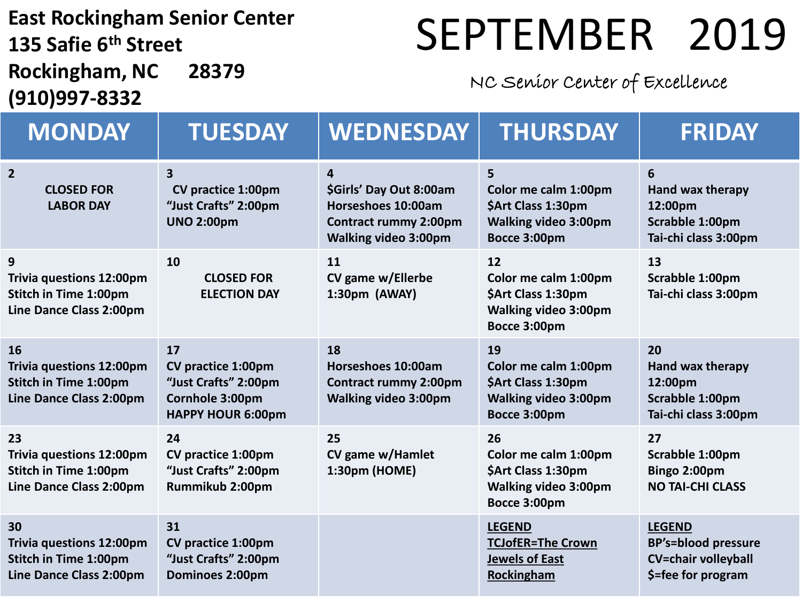#### **East Rockingham Senior Center 135 Safie 6 th Street Rockingham, NC 28379**

## SEPTEMBER 2019

#### NC Senior Center of Excellence

| (910)997-8332                                                                                    |                                                                                                   |                                                                                                                   |                                                                                                 |                                                                                                 |  |
|--------------------------------------------------------------------------------------------------|---------------------------------------------------------------------------------------------------|-------------------------------------------------------------------------------------------------------------------|-------------------------------------------------------------------------------------------------|-------------------------------------------------------------------------------------------------|--|
| <b>MONDAY</b>                                                                                    | <b>TUESDAY</b>                                                                                    | <b>WEDNESDAY</b>                                                                                                  | <b>THURSDAY</b>                                                                                 | <b>FRIDAY</b>                                                                                   |  |
| $\overline{2}$<br><b>CLOSED FOR</b><br><b>LABOR DAY</b>                                          | $\overline{\mathbf{3}}$<br><b>CV practice 1:00pm</b><br>"Just Crafts" 2:00pm<br><b>UNO 2:00pm</b> | 4<br>\$Girls' Day Out 8:00am<br>Horseshoes 10:00am<br><b>Contract rummy 2:00pm</b><br><b>Walking video 3:00pm</b> | 5<br>Color me calm 1:00pm<br>\$Art Class 1:30pm<br><b>Walking video 3:00pm</b><br>Bocce 3:00pm  | 6<br>Hand wax therapy<br>12:00pm<br>Scrabble 1:00pm<br>Tai-chi class 3:00pm                     |  |
| 9<br><b>Trivia questions 12:00pm</b><br><b>Stitch in Time 1:00pm</b><br>Line Dance Class 2:00pm  | 10<br><b>CLOSED FOR</b><br><b>ELECTION DAY</b>                                                    | 11<br>CV game w/Ellerbe<br>1:30pm (AWAY)                                                                          | 12<br>Color me calm 1:00pm<br>\$Art Class 1:30pm<br>Walking video 3:00pm<br>Bocce 3:00pm        | 13<br>Scrabble 1:00pm<br>Tai-chi class 3:00pm                                                   |  |
| 16<br><b>Trivia questions 12:00pm</b><br><b>Stitch in Time 1:00pm</b><br>Line Dance Class 2:00pm | 17<br>CV practice 1:00pm<br>"Just Crafts" 2:00pm<br>Cornhole 3:00pm<br><b>HAPPY HOUR 6:00pm</b>   | 18<br>Horseshoes 10:00am<br><b>Contract rummy 2:00pm</b><br><b>Walking video 3:00pm</b>                           | 19<br>Color me calm 1:00pm<br>\$Art Class 1:30pm<br><b>Walking video 3:00pm</b><br>Bocce 3:00pm | 20<br>Hand wax therapy<br>12:00pm<br>Scrabble 1:00pm<br>Tai-chi class 3:00pm                    |  |
| 23<br><b>Trivia questions 12:00pm</b><br><b>Stitch in Time 1:00pm</b><br>Line Dance Class 2:00pm | 24<br>CV practice 1:00pm<br>"Just Crafts" 2:00pm<br>Rummikub 2:00pm                               | 25<br>CV game w/Hamlet<br>1:30pm (HOME)                                                                           | 26<br>Color me calm 1:00pm<br>\$Art Class 1:30pm<br><b>Walking video 3:00pm</b><br>Bocce 3:00pm | 27<br>Scrabble 1:00pm<br>Bingo 2:00pm<br><b>NO TAI-CHI CLASS</b>                                |  |
| 30<br><b>Trivia questions 12:00pm</b><br><b>Stitch in Time 1:00pm</b><br>Line Dance Class 2:00pm | 31<br>CV practice 1:00pm<br>"Just Crafts" 2:00pm<br>Dominoes 2:00pm                               |                                                                                                                   | <b>LEGEND</b><br><b>TCJofER=The Crown</b><br><b>Jewels of East</b><br>Rockingham                | <b>LEGEND</b><br><b>BP's=blood pressure</b><br><b>CV=chair volleyball</b><br>\$=fee for program |  |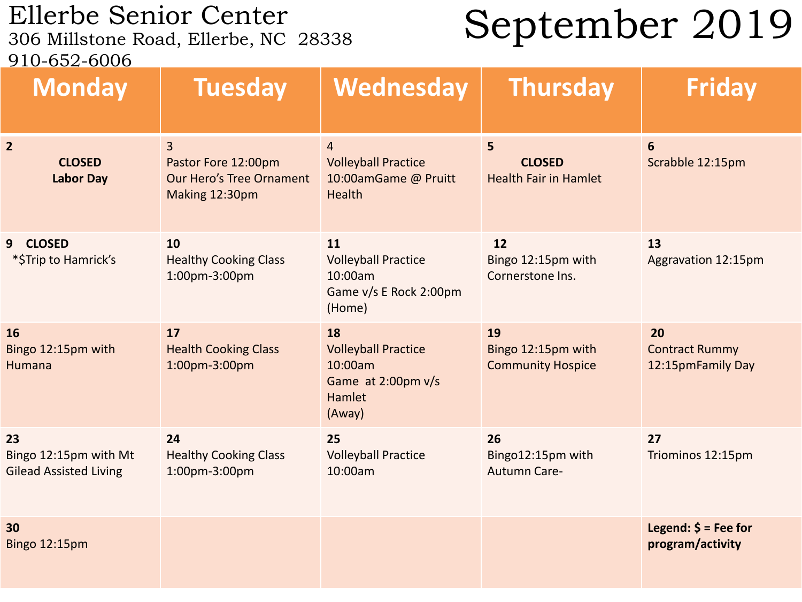# Ellerbe Senior Center<br>306 Millstone Road, Ellerbe, NC 28338

### September 2019

910-652-6006

| <u>JIV UJA UVVU</u><br><b>Monday</b>                         | <b>Tuesday</b>                                                                             | Wednesday                                                                             | <b>Thursday</b>                                      | <b>Friday</b>                                       |
|--------------------------------------------------------------|--------------------------------------------------------------------------------------------|---------------------------------------------------------------------------------------|------------------------------------------------------|-----------------------------------------------------|
| $\overline{2}$<br><b>CLOSED</b><br><b>Labor Day</b>          | $\overline{3}$<br>Pastor Fore 12:00pm<br><b>Our Hero's Tree Ornament</b><br>Making 12:30pm | $\overline{4}$<br><b>Volleyball Practice</b><br>10:00amGame @ Pruitt<br>Health        | 5<br><b>CLOSED</b><br><b>Health Fair in Hamlet</b>   | 6<br>Scrabble 12:15pm                               |
| <b>CLOSED</b><br>9 <sup>°</sup><br>*\$Trip to Hamrick's      | 10<br><b>Healthy Cooking Class</b><br>1:00pm-3:00pm                                        | 11<br><b>Volleyball Practice</b><br>10:00am<br>Game v/s E Rock 2:00pm<br>(Home)       | 12<br>Bingo 12:15pm with<br>Cornerstone Ins.         | 13<br>Aggravation 12:15pm                           |
| <b>16</b><br>Bingo 12:15pm with<br>Humana                    | 17<br><b>Health Cooking Class</b><br>1:00pm-3:00pm                                         | 18<br><b>Volleyball Practice</b><br>10:00am<br>Game at 2:00pm v/s<br>Hamlet<br>(Away) | 19<br>Bingo 12:15pm with<br><b>Community Hospice</b> | 20<br><b>Contract Rummy</b><br>12:15pmFamily Day    |
| 23<br>Bingo 12:15pm with Mt<br><b>Gilead Assisted Living</b> | 24<br><b>Healthy Cooking Class</b><br>1:00pm-3:00pm                                        | 25<br><b>Volleyball Practice</b><br>10:00am                                           | 26<br>Bingo12:15pm with<br><b>Autumn Care-</b>       | 27<br>Triominos 12:15pm                             |
| 30<br><b>Bingo 12:15pm</b>                                   |                                                                                            |                                                                                       |                                                      | Legend: $\frac{2}{7}$ = Fee for<br>program/activity |